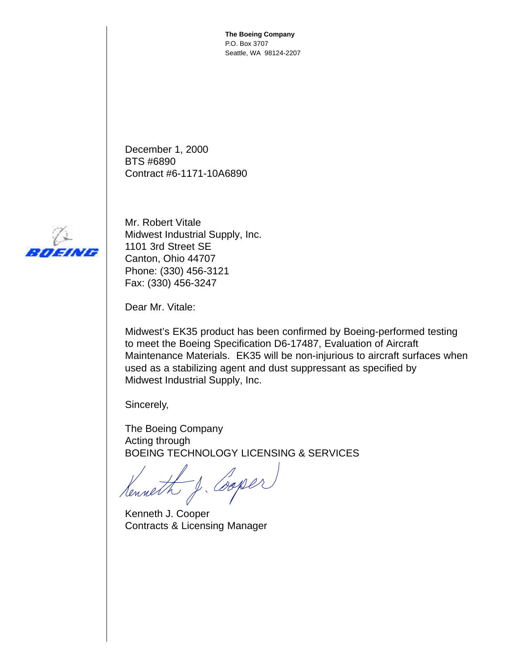**The Boeing Company** P.O. Box 3707 Seattle, WA 98124-2207

December 1, 2000 BTS #6890 Contract #6-1171-10A6890



Mr. Robert Vitale Midwest Industrial Supply, Inc. 1101 3rd Street SE Canton, Ohio 44707 Phone: (330) 456-3121 Fax: (330) 456-3247

Dear Mr. Vitale:

Midwest's EK35 product has been confirmed by Boeing-performed testing to meet the Boeing Specification D6-17487, Evaluation of Aircraft Maintenance Materials. EK35 will be non-injurious to aircraft surfaces when used as a stabilizing agent and dust suppressant as specified by Midwest Industrial Supply, Inc.

Sincerely,

The Boeing Company Acting through BOEING TECHNOLOGY LICENSING & SERVICES

Henneth J. Cooper

Kenneth J. Cooper Contracts & Licensing Manager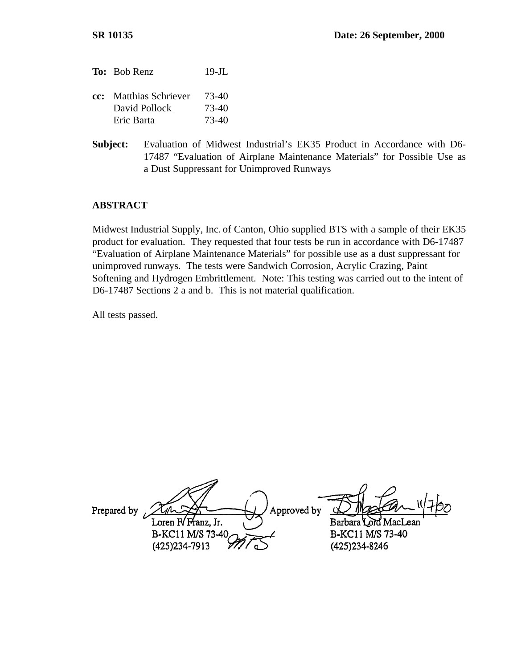- To: Bob Renz 19-JL **cc:** Matthias Schriever 73-40 David Pollock 73-40 Eric Barta 73-40
- **Subject:** Evaluation of Midwest Industrial's EK35 Product in Accordance with D6- 17487 "Evaluation of Airplane Maintenance Materials" for Possible Use as a Dust Suppressant for Unimproved Runways

#### **ABSTRACT**

Midwest Industrial Supply, Inc. of Canton, Ohio supplied BTS with a sample of their EK35 product for evaluation. They requested that four tests be run in accordance with D6-17487 "Evaluation of Airplane Maintenance Materials" for possible use as a dust suppressant for unimproved runways. The tests were Sandwich Corrosion, Acrylic Crazing, Paint Softening and Hydrogen Embrittlement. Note: This testing was carried out to the intent of D6-17487 Sections 2 a and b. This is not material qualification.

All tests passed.

Approved by Prepared by Loren R/Franz. Jr. Barbara Lord MacI B-KC11 M/S 73-40 B-KC11 M/S 73-40 (425) 234-7913 (425) 234-8246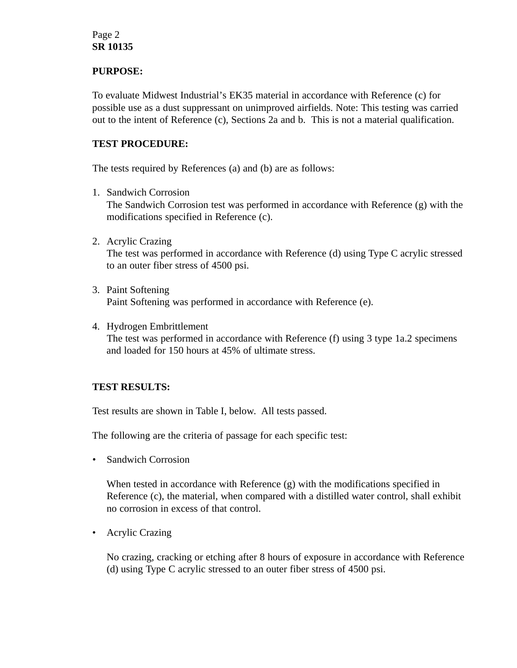# Page 2 **SR 10135**

### **PURPOSE:**

To evaluate Midwest Industrial's EK35 material in accordance with Reference (c) for possible use as a dust suppressant on unimproved airfields. Note: This testing was carried out to the intent of Reference (c), Sections 2a and b. This is not a material qualification.

# **TEST PROCEDURE:**

The tests required by References (a) and (b) are as follows:

- 1. Sandwich Corrosion The Sandwich Corrosion test was performed in accordance with Reference (g) with the modifications specified in Reference (c).
- 2. Acrylic Crazing The test was performed in accordance with Reference (d) using Type C acrylic stressed to an outer fiber stress of 4500 psi.
- 3. Paint Softening Paint Softening was performed in accordance with Reference (e).
- 4. Hydrogen Embrittlement The test was performed in accordance with Reference (f) using 3 type 1a.2 specimens and loaded for 150 hours at 45% of ultimate stress.

### **TEST RESULTS:**

Test results are shown in Table I, below. All tests passed.

The following are the criteria of passage for each specific test:

• Sandwich Corrosion

When tested in accordance with Reference (g) with the modifications specified in Reference (c), the material, when compared with a distilled water control, shall exhibit no corrosion in excess of that control.

• Acrylic Crazing

No crazing, cracking or etching after 8 hours of exposure in accordance with Reference (d) using Type C acrylic stressed to an outer fiber stress of 4500 psi.